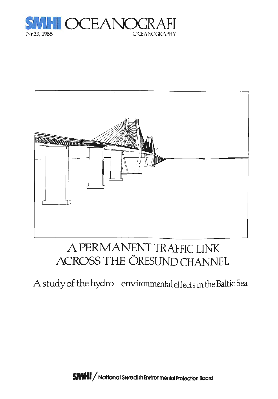



# A PERMANENT TRAFFIC LINK<br>ACROSS THE ÖRESUND CHANNEL

# A study of the hydro-environmental effects in the Baltic Sea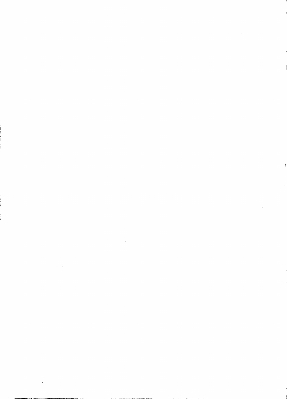$\label{eq:2.1} \frac{1}{\sqrt{2}}\int_{\mathbb{R}^3}\frac{1}{\sqrt{2}}\left(\frac{1}{\sqrt{2}}\right)^2\frac{1}{\sqrt{2}}\left(\frac{1}{\sqrt{2}}\right)^2\frac{1}{\sqrt{2}}\left(\frac{1}{\sqrt{2}}\right)^2\frac{1}{\sqrt{2}}\left(\frac{1}{\sqrt{2}}\right)^2\frac{1}{\sqrt{2}}\left(\frac{1}{\sqrt{2}}\right)^2\frac{1}{\sqrt{2}}\frac{1}{\sqrt{2}}\frac{1}{\sqrt{2}}\frac{1}{\sqrt{2}}\frac{1}{\sqrt{2}}\frac{1}{\sqrt{2}}$ 

 $\overline{\phantom{a}}$ 

 $\frac{1}{2}$ 

 $\mathcal{L}^{\text{max}}_{\text{max}}$  .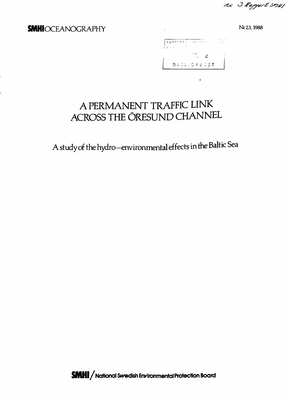RX 3 Rapport SMH

**SMHI**OCEANOGRAPHY

Nr 23, 1988

 $\begin{tabular}{|c|c|c|c|c|c|c|c|c|} \hline \textbf{even} & \textbf{even} & \textbf{even} & \textbf{even} \\ \hline \textbf{even} & \textbf{even} & \textbf{even} & \textbf{even} & \textbf{even} \\ \hline \end{tabular}$  $\begin{bmatrix} 0 & 0 \\ 0 & 0 \end{bmatrix}$ 

# A PERMANENT TRAFFIC LINK ACROSS THE ÖRESUND CHANNEL

A study of the hydro-environmental effects in the Baltic Sea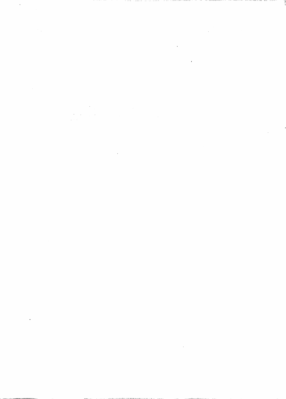$\label{eq:2.1} \frac{1}{\sqrt{2}}\int_{\mathbb{R}^3}\frac{1}{\sqrt{2}}\left(\frac{1}{\sqrt{2}}\right)^2\frac{1}{\sqrt{2}}\left(\frac{1}{\sqrt{2}}\right)^2\frac{1}{\sqrt{2}}\left(\frac{1}{\sqrt{2}}\right)^2\frac{1}{\sqrt{2}}\left(\frac{1}{\sqrt{2}}\right)^2\frac{1}{\sqrt{2}}\left(\frac{1}{\sqrt{2}}\right)^2\frac{1}{\sqrt{2}}\frac{1}{\sqrt{2}}\frac{1}{\sqrt{2}}\frac{1}{\sqrt{2}}\frac{1}{\sqrt{2}}\frac{1}{\sqrt{2}}$ 

 $\mathcal{L}^{\text{max}}_{\text{max}}$  , where  $\mathcal{L}^{\text{max}}_{\text{max}}$ 

 $\mathcal{L}(\mathbf{X})$  and  $\mathcal{L}(\mathbf{X})$ 

 $\label{eq:2.1} \mathcal{L}(\mathcal{L}^{\mathcal{L}}_{\mathcal{L}}(\mathcal{L}^{\mathcal{L}}_{\mathcal{L}})) = \mathcal{L}(\mathcal{L}^{\mathcal{L}}_{\mathcal{L}}(\mathcal{L}^{\mathcal{L}}_{\mathcal{L}})) = \mathcal{L}(\mathcal{L}^{\mathcal{L}}_{\mathcal{L}}(\mathcal{L}^{\mathcal{L}}_{\mathcal{L}}))$  $\mathcal{L}^{\mathcal{L}}(\mathcal{L}^{\mathcal{L}})$  and  $\mathcal{L}^{\mathcal{L}}(\mathcal{L}^{\mathcal{L}})$  and  $\mathcal{L}^{\mathcal{L}}(\mathcal{L}^{\mathcal{L}})$  $\label{eq:2.1} \mathcal{L}(\mathcal{L}^{\text{max}}_{\mathcal{L}}(\mathcal{L}^{\text{max}}_{\mathcal{L}}),\mathcal{L}^{\text{max}}_{\mathcal{L}^{\text{max}}_{\mathcal{L}}})$ 

 $\mathcal{A}^{\mathcal{A}}$ 

 $\mathcal{L}(\mathcal{L}^{\mathcal{L}})$  and  $\mathcal{L}^{\mathcal{L}}$  and  $\mathcal{L}^{\mathcal{L}}$  and  $\mathcal{L}^{\mathcal{L}}$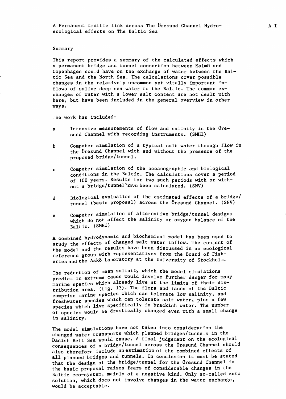# Summary

This report provides a summary of the calculated effects which a permanent bridge and tunnel connection between Malmö and Copenhagen could have on the exchange of water between the Baltic Sea and the North Sea. The calculations cover possible changes in the relatively uncommon yet vitally important inflows of saline deep sea water to the Baltic. The common exchanges of water with a lower salt content are not dealt with here, but have been included in the general overview in other ways.

The work has included:

- a Intensive measurements of flow and salinity in the Öresund Channel with recording instruments. (SMHI)
- b Computer simulation of a typical salt water through flow in the Öresund Channel with and without the presence of the proposed bridge/tunnel.
- c Computer simulation of the oceanographic and biological conditions in the Baltic. The calculations cover a period of 100 years. Results for two such periods with or without a bridge/tunnel have been calculated. (SNV)
- d Biological evaluation of the estimated effects of a bridge/ tunnel (basic proposal) across the Öresund Channel. (SNV)
- e Computer simulation of alternative bridge/tunnel designs which do not affect the salinity or oxygen balance of the Baltic. (SMHI)

A combined hydrodynamic and biochemical model has been used to study the effects of changed salt water inflow. The content of the model and the results have been discussed in an ecological reference group with representatives from the Board of Fisheries and the Askö Laboratory at the University of Stockholm.

The reduction of mean salinity which the model simulations predict in extreme cases would involve further danger for many marine species which already live at the limits of their distribution area. (fig. 13). The flora and fauna of the Baltic comprise marine species which can tolerate low salinity, and freshwater species which can tolerate salt water, plus a few species which live specifically in brackish water. The number of species would be drast1cally changed even with a small change in salinity.

The model simulations have not taken into consideration the changed water transports which planned bridges/tunnels in the Danish Belt Sea would cause. A final judgement on the ecological consequences of a bridge/tunnel across the Öresund Channel should also therefore include anestimation of the combined effects of all planned bridges and tunnels. In conclusion it must be stated that the design of the bridge/tunnel for the Öresund Channel in the basic proposal raises fears of considerable changes in the Baltic eco-system, mainly of a negative kind. Only so-called zero solution, which does not involve changes in the water exchange, would be acceptable.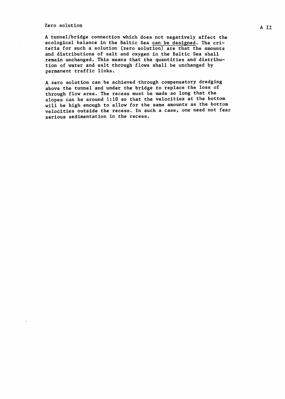## Zero solution

A tunnel/bridge connection which does not negatively affect the ecological balance in the Baltic Sea can be designed. The criteria for such a solution (zero solution) are that the amounts and distributions of salt and oxygen in the Baltic Sea shall remain unchanged. This means that the quantities and distribution of water and salt through flows shall be unchanged by permanent traffic links.

A zero solution can be achieved through compensatory dredging above the tunnel and under the bridge to replace the loss of through flow area. The recess must be made so long that the slopes can be around 1:10 so that the velocities at the bottom will be high enough to allow for the same amounts as the bottom velocities outside the recess. In such a case, one need not fear serious sedimentation in the recess.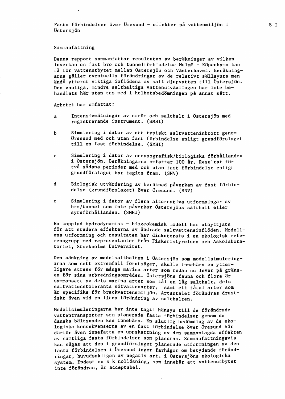#### Sammanfattning

Denna rapport sammanfattar resultaten av beräkningar av vilken inverkan en fast bro och tunnelförbindelse Malmö - Köpenhamn kan få för vattenutbytet mellan Östersjön och Västerhavet. Beräkningarna gäller eventuella förändringar av de relativt sällsynta men ändå ytterst viktiga inflödena av salt djupvatten till Östersjön. Den vanliga, mindre salthaltiga vattenutväxlingen har inte behandlats här utan tas med i helhetsbedömningen på annat sätt.

Arbetet har omfattat:

- a Intensivmätningar av ström och salthalt i Östersjön med registrerande instrument. (SMHI)
- b Simulering i dator av ett typiskt saltvatteninbrott genom Öresund med och utan fast förbindelse enligt grundförslaget till en fast förbindelse. (SMHI)
- c Simulering i dator av oceanografisk/biologiska förhållanden i Östersjön. Beräkningarna omfattar 100 år. Resultat för två sådana perioder med och utan fast förbindelse enligt grundförslaget har tagits fram. (SNV)
- d Biologisk utvärdering av beräknad påverkan av fast förbindelse (grundförslaget) över Öresund. (SNV)
- e Simulering i dator av flera alternativa utformningar av bro/tunnel som inte påverkar Östersjöns salthalt eller syreförhållanden. (SMHI)

En kopplad hydrodynamisk - biogeokemisk modell har utnyttjats för att studera effekterna av ändrade saltvattensinflöden. Modellens utformning och resultaten har diskuterats i en ekologisk referensgrupp med representanter från Fiskeristyrelsen och Askölaboratoriet, Stockholms Universitet.

Den sänkning av medelsalthalten i Östersjön som modellsimuleringarna som sett extremfall förutsäger, skulle innebära en ytterligare stress för många marina arter som redan nu lever på gränsen för sina utbredningsområden. Östersjöns fauna och flora är sammansatt av dels marina arter som tål en låg salthalt, dels saltvattenstoleranta sötvattenarter, samt ett fåtal arter som är specifika för brackvattensmiljön. Artantalet förändras drastiskt även vid en liten förändring av salthalten.

Modellsimuleringarna har inte tagit hänsyn till de förändrade vattentransporter som planerade fasta förbindelser genom de danska bältsunden kan innebära. En slutlig bedömning av de ekologiska konsekvenserna av en fast förbindelse över Öresund bör därför även innefatta en uppskattning av den sammanlagda effekten av samtliga fasta förbindelser som planeras. Sammanfattningsvis kan sägas att den i grundförslaget planerade utformningen av den fasta förbindelsen i Öresund inger farhågor om betydande förändringar, huvudsakligen av negativ art, i Östersjöns ekologiska system. Endast ens k nollösning, som innebär att vattenutbytet inte förändras, är acceptabel.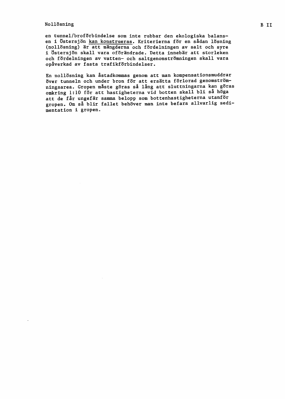### Noll ösning

en tunnel/broförbindelse som inte rubbar den ekologiska balansen i Östersjön kan konstrueras. Kriterierna för en sådan lösning (nollösning) är att mängderna och fördelningen av salt och syre i Östersjön skall vara oförändrade. Detta innebär att storleken och fördelningen av vatten- och saltgenomströmningen skall vara opåverkad av fasta trafikförbindelser.

En nollösning kan åstadkommas genom att man kompensationsmuddrar över tunneln och under bron för att ersätta förlorad genomströmningsarea. Gropen måste göras så lång att sluttningarna kan göras omkring 1:10 för att hastigheterna vid botten skall bli så höga att de får ungefär samma belopp som bottenhastigheterna utanför gropen. Om så blir fallet behöver man inte befara allvarlig sedimentation i gropen.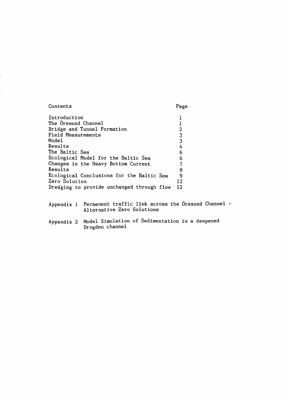| Contents                                             | Page           |
|------------------------------------------------------|----------------|
| Introduction                                         |                |
| The Oresund Channel                                  | 1              |
| Bridge and Tunnel Formation                          | $\overline{2}$ |
| Field Measurements                                   | 3              |
| Model                                                | 3              |
| Results                                              | 4              |
| The Baltic Sea                                       | 6              |
| Ecological Model for the Baltic Sea                  | 6              |
| Changes in the Heavy Bottom Current                  |                |
| Results                                              | 8              |
| Ecological Conclusions for the Baltic Sea            | 9              |
| Zero Solution                                        | 12             |
| Dredging to provide unchanged through flow           | 12             |
| Appondix 1 Pormanent traffic link across the Oresund |                |

- Appendix 1 Permanent traffic link across the Öresund Channel Alternative Zero Solutions
- Appendix 2 Model Simulation of Sedimentation in a deepened Drogden channel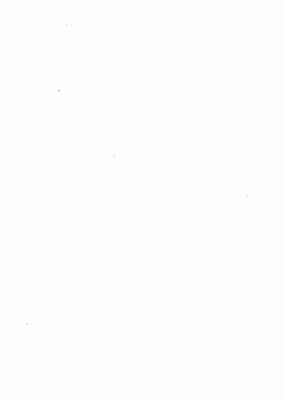$\mathcal{L}(\mathcal{L}^{\mathcal{L}})$  and  $\mathcal{L}^{\mathcal{L}}$  and  $\mathcal{L}^{\mathcal{L}}$  $\label{eq:2.1} \frac{1}{\sqrt{2}}\int_{\mathbb{R}^3}\frac{1}{\sqrt{2}}\left(\frac{1}{\sqrt{2}}\right)^2\frac{1}{\sqrt{2}}\left(\frac{1}{\sqrt{2}}\right)^2\frac{1}{\sqrt{2}}\left(\frac{1}{\sqrt{2}}\right)^2\frac{1}{\sqrt{2}}\left(\frac{1}{\sqrt{2}}\right)^2.$  $\mathcal{L}(\mathcal{A})$  and  $\mathcal{L}(\mathcal{A})$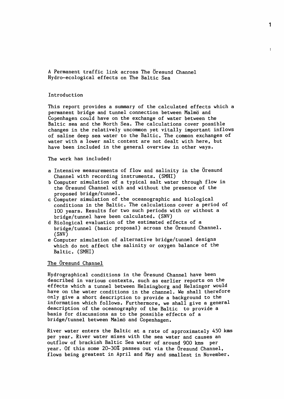A Permanent traffic link across The Öresund Channel Hydro-ecological effects on The Baltic Sea

# Introduction

This report provides a summary of the calculated effects which a permanent bridge and tunnel connection between Malmö and Copenhagen could have on the exchange of water between the Baltic sea and the North Sea. The calculations cover possible changes in the relatively uncommon yet vitally important inflows of saline deep sea water to the Baltic. The common exchanges of water with a lower salt content are not dealt with here, but have been included in the general overview in other ways.

# The work has included:

- a Intensive measurements of flow and salinity in the Öresund Channel with recording instruments. (SMHI)
- b Computer simulation of a typical salt water through flow in the Öresund Channel with and without the presence of the proposed bridge/tunnel.
- c Computer simulation of the oceanographic and biological conditions in the Baltic. The calculations cover a period of 100 years. Results for two such periods with or without a bridge/tunnel have been calculated. (SNV)
- d Biological evaluation of the estimated effects of a bridge/tunnel (basic proposal) across the Öresund Channel. (SNV)
- e Computer simulation of alternative bridge/tunnel designs which do not affect the salinity or oxygen balance of the Baltic. (SMHI)

# The Öresund Channel

Hydrographical conditions in the Öresund Channel have been described in various contexts, such as earlier reports on the effects which a tunnel between Helsingborg and Helsingor would have on the water conditions in the channel. We shall therefore only give a short description to provide a background to the information which follows. Furthermore, we shall give a general description of the oceanography of the Baltic to provide a basis for discussions as to the possible effects of a bridge/tunnel between Malmö and Copenhagen.

River water enters the Baltic at a rate of approximately 450 kms per year. River water mixes with the sea water and causes an outflow of brackish Baltic Sea water of around 900 kms per year. 0f this some 20-30% passes out via the Öresund Channel, flows being greatest in April and May and smallest in November.

 $\mathbf{I}$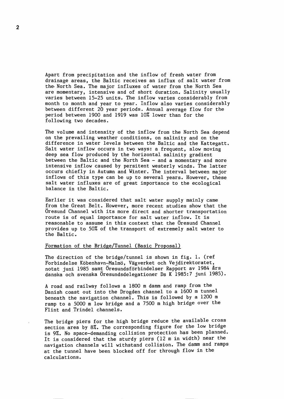Apart from precipitation and the inflow of fresh water from drainage areas, the Baltic receives an influx of salt water from the, North Sea. The major influxes of water from the North Sea are momentary, intensive and of short duration. Salinity usually varies between 15-25 units. The inflow varies considerably from month to month and year to year. Inflow also varies considerably between different 20 year periods. Annual average flow for the period between 1900 and 1919 was 10% lower than for the following two decades.

The volume and intensity of the inflow from the North Sea depend on the prevailing weather conditions, on salinity and on the difference in water levels between the Baltic and the Kattegatt. Salt water inflow occurs in two ways: a frequent, slow moving deep sea flow produced by the horizontal salinity gradient between the Baltic and the North Sea - and a momentary and more intensive inflow caused by persitent westerly winds. The latter occurs chiefly in Autumn and Winter. The interval between major inflows of this type can be up to several years. However, these salt water influxes are of great importance to the ecological balance in the Baltic.

Earlier it was considered that salt water supply mainly came from the Great Belt. However, more recent studies show that the Öresund Channel with its more direct and shorter transportation route is of equal importance for salt water inflow. It is reasonable to assume in this context that the Öresund Channel provides up to 50% of the transport of extremely salt water to the Baltic.

# Formation of the Bridge/Tunnel (Basic Proposal)

The direction of the bridge/tunnel is shown in fig. 1. (ref Forbindelse Köbenhavn-Malmö, Vägverket och Vejdirektoratet, notat juni 1985 samt Öresundsförbindelser Rapport av 1984 års danska och svenska Öresundsdelegationer Ds K 1985:7 juni 1985).

A road and railway follows a 1800 m damm and ramp from the Danish coast out into the Drogden channel to a 1600 m tunnel beneath the navigation channel. This is followed by a 1200 m ramp to a 5000 m low bridge and a 7500 m high bridge over the Flint and Trindel channels.

The bridge piers for the high bridge reduce the available cross section area by 8%. The corresponding figure for the low bridge is 9%. No space-demanding collision protection has been planned. It is considered that the sturdy piers  $(12 \t{ m in width})$  near the navigation channels will withstand collision. The damm and ramps at the tunnel have been blocked off for through flow in the calculations.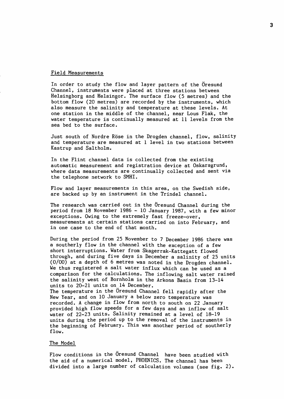# Field Measurements

In order to study the flow and layer pattern of the Öresund Channel, instruments were placed at three stations between Helsingborg and Helsingor. The surface flow (5 metres) and the bottom flow (20 metres) are recorded by the instruments, which also measure the salinity and temperature at these levels. At one station in the middle of the channel, near Lous Flak, the water temperature is continually measured at 11 levels from the sea hed to the surface.

Just south of Nordre Röse in the Drogden channel, flow, salinity and temperature are measured at 1 level in two stations between Kastrup and Saltholm.

In the Flint channel data is collected from the existing automatic measurement and registration device at Oskarsgrund, where data measurements are continually collected and sent via the telephone network to SMHI.

Flow and layer measurements in this area, on the Swedish side, are backed up by an instrument in the Trindel channel.

The research was carried out in the Öresund Channel during the period from 18 November 1986 - 10 January 1987, with a few minor exceptions. Owing to the extremely fast freeze-over, measurements at certain stations carried on into February, and in one case to the end of that month.

During the period from 25 November to 7 December 1986 there was a southerly flow in the channel with the exception of a few short interruptions. Water from Skagerrak-Kattegatt flowed through, and during five days in December a salinity of 25 units  $(0/00)$  at a depth of 6 metres was noted in the Drogden channel. We thus registered a salt water influx which can be used as a comparison for the calculations. The inflowing salt water raised the salinity west of Bornholm in the Arkona Basin from 13-14 units to 20-21 units on 14 December. The temperature in the Öresund Channel fell rapidly after the New Year, and on 10 January a below zero temperature was recorded. A change in flow from north to south on 22 January provided high flow speeds for a few days and an inflow of salt water of 22-23 units. Salinity remained at a level of 18-19 units during the period up to the removal of the instruments in the beginning of February. This was another period of southerly flow.

## The Model

Flow conditions in the Öresund Channel have been studied with the aid of a numerical model, PHOENICS. The channel has been divided into a large number of calculation volumes (see fig. 2).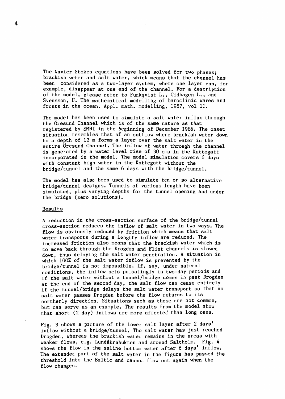The Navier Stokes equations have been solved for two phases; brackish water and salt water, which means that the channel has been considered as a two-layer system, where one layer can, for example, disappear at one end of the channel. For a description of the model, please refer to Funkqvist L., Gidhagen L., and Svensson, U. The mathematical modelling of baroclinic waves and fronts in the ocean. Appl. math. modelling, 1987, vol 11.

The model has been used to simulate a salt water influx through the Öresund Channel which is of the same nature as that registered by SMHI in the beginning of December 1986. The onset situation resembles that of an outflow where brackish water down toa depth of 12 m forms a layer over the salt water in the entire Öresund Channel. The inflow of water through the channel is generated by a water level rise of 30 cms in the Kattegatt incorporated in the model. The model simulation covers 6 days with constant high water in the Kattegatt without the bridge/tunnel and the same 6 days with the bridge/tunnel.

The model has also been used to simulate ten or so alternative bridge/tunnel designs. Tunnels of various length have been simulated, plus varying depths for the tunnel opening and under the bridge (zero solutions).

#### Results

A reduction in the cross-section surface of the bridge/tunnel cross-section reduces the inflow of salt water in two ways. The flow is obviously reduced by friction which means that salt water transports during a lengthy inflow are reduced. The increased friction also means that the brackish water which is to move back through the Drogden and Flint channels is slowed down, thus delaying the salt water penetration. A situation in which 100% of the salt water inflow is prevented by the bridge/tunnel is not impossible. If, say, under natural conditions, the inflow acts pulsatingly in two-day periods and if the salt water without a tunnel/bridge comes in past Drogden at the end of the second day, the salt flow can cease entirely if the tunnel/bridge delays the salt water transport so that no salt water passes Drogden before the flow returns to its northerly direction. Situations such as these are not common, but can serve as an example. The results from the model show that short (2 day) inflows are more affected than long ones.

Fig. 3 shows a picture of the lower salt layer after 2 days' inflow without a bridge/tunnel. The salt water has just reached Drogden, whereas the brackish water remains in the areas with weaker flows, e.g. Lundåkrabukten and around Saltholm. Fig. 4 shows the flow in the saline bottom water after 6 days' inflow. The extended part of the salt water in the figure has passed the threshold into the Baltic and cannot flow out again when the flow changes.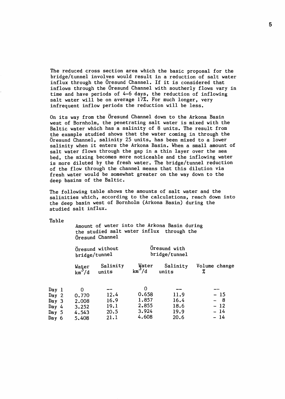The reduced cross section area which the basic proposal for the bridge/tunnel involves would result in a reduction of salt water influx through the Öresund Channel. If it is considered that inflows through the Öresund Channel with southerly flows vary in time and have periods of 4-6 days, the reduction of inflowing salt water will be on average 17%. For much longer, very infrequent inflow periods the reduction will be less.

On its way from the Öresund Channel down to the Arkona Basin west of Bornholm, the penetrating salt water is mixed with the Baltic water which hasa salinity of 8 units. The result from the example studied shows that the water coming in through the Öresund Channel, salinity 25 units, has been mixed toa lower salinity when it enters the Arkona Basin. When a small amount of salt water flows through the gap in a thin layer over the sea hed, the mixing becomes more noticeable and the inflowing water is more diluted by the fresh water. The bridge/tunnel reduction of the flow through the channel means that this dilution via fresh water would be somewhat greater on the way down to the deep basins of the Baltic.

The following table shows the amounts of salt water and the salinities which, according to the calculations, reach down into the deep basin west of Bornholm (Arkona Basin) during the studied salt influx.

Table

| Amount of water into the Arkona Basin during |  |  |  |
|----------------------------------------------|--|--|--|
| the studied salt water influx through the    |  |  |  |
| Öresund Channel                              |  |  |  |

|         | Öresund without<br>bridge/tunnel |                   |                   | Öresund with<br>bridge/tunnel |                    |  |
|---------|----------------------------------|-------------------|-------------------|-------------------------------|--------------------|--|
|         | Water<br>km3/d                   | Salinity<br>units | Water<br>$km^3/d$ | Salinity<br>units             | Volume change<br>z |  |
| Day 1   | 0                                | 12.4              | 0<br>0.658        | 11.9                          | $-15$              |  |
| Day $2$ | 0.770                            | 16.9              | 1.857             | 16.4                          | - 8                |  |
| Day $3$ | 2.008                            | 19.1              | 2.855             | 18.6                          | $-12$              |  |
| Day $4$ | 3.252                            | 20.5              | 3.924             | 19.9                          | $-14$              |  |
| Day $5$ | 4.543                            |                   | 4.608             | 20.6                          | - 14               |  |
| Day $6$ | 5.408                            | 21.1              |                   |                               |                    |  |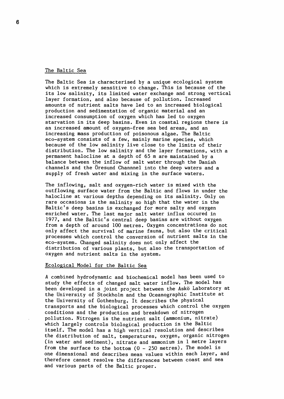# The Baltic Sea

The Baltic Sea is characterised by a unique ecological system which is extremely sensitive to change. This is because of the its low salinity, its limited water exchange and strong vertical layer formation, and also because of pollution. Increased amounts of nutrient salts have led to an increased biological production and sedimentation of organic material and an increased consumption of oxygen which has led to oxygen starvation in its deep basins. Even in coastal regions there is an increased amount of oxygen-free sea bed areas, and an increasing mass production of poisonous algae. The Baltic eco-system consists of a few, mainly marine species, which because of the low salinity live close to the limits of their distribution. The low salinity and the layer formations, with a permanent halocline at a depth of 65 m are maintained by a balance between the inflow of salt water through the Danish channels and the Öresund Channnel into the deep waters and a supply of fresh water and mixing in the surface waters.

The inflowing, salt and oxygen-rich water is mixed with the outflowing surface water from the Baltic and flows in under the halocline at various depths depending on its salinity. Only on rare occasions is the salinity so high that the water in the Baltic's deep basins is exchanged for more salty and oxygen enriched water. The last major salt water influx occured in 1977, and the Baltic's central deep basins are without oxygen from a depth of around 100 metres. Oxygen concentrations do not only affect the survival of marine fauna, but also the critical processes which control the conversion of nutrient salts in the eco-system. Changed salinity does not only affect the distribution of various plants, but also the transportation of oxygen and nutrient salts in the system.

# Ecological Model for the Baltic Sea

A combined hydrodynamic and biochemical model has been used to study the effects of changed salt water inflow. The model has been developed in a joint project between the Askö Laboratory at the University of Stockholm and the Oceanographic Institute at the University of Gothenburg. It describes the physical transports and the biological processes which control the oxygen conditions and the production and breakdown of nitrogen pollution. Nitrogen is the nutrient salt (ammonium, nitrate) which largely controls biological production in the Baltic itself. The model has a high vertical resolution and describes the distribution of salt, temperatures, oxygen, organic nitrogen (in water and sediment), nitrate and ammonium in 1 metre layers from the surface to the bottom  $(0 - 250$  metres). The model is one dimensional and describes mean values within each layer, and therefore cannot resolve the differences between coast and sea and various parts of the Baltic proper.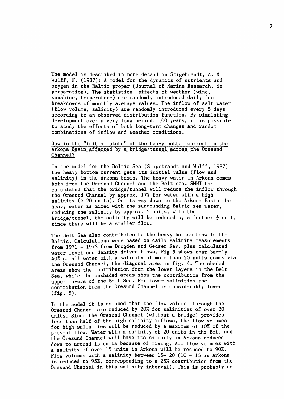The model is described in more detail in Stigebrandt, A. & Wulff, F. (1987): A model for the dynamics of nutrients and oxygen in the Baltic proper (Journal of Marine Research, in perparation). The statistical effects of weather (wind, sunshine, temperature) are randomly introduced daily from breakdowns of monthly average values. The inflow of salt water (flow volume, salinity) are randomly introduced every 5 days according to an observed distribution function. By simulating development over a very long period, 100 years, it is possible to study the effects of both long-term changes and random combinations of inflow and weather conditions.

# How is the "initial state" of the heavy bottom current in the Arkona Basin affected by a bridge/tunnel across the Oresund Channel?

In the model for the Baltic Sea (Stigebrandt and Wulff, 1987) the heavy bottom current gets its initial value (flow and salinity) in the Arkona basin. The heavy water in Arkona comes both from the Öresund Channel and the Belt sea. SMHI has calculated that the bridge/tunnel will reduce the inflow through the Öresund Channel by approx. 17% for water with a high salinity (> 20 units). On its way down to the Arkona Basin the heavy water is mixed with the surrounding Baltic sea water, reducing the salinity by approx. 5 units. With the bridge/tunnel, the salinity will be reduced by a further  $\frac{1}{2}$  unit, since there will be a smaller flow.

The Belt Sea also contributes to the heavy bottom flow in the Baltic. Calculations were based on daily salinity measurements from 1971 - 1973 from Drogden and Gedser Rev, plus calculated water level and density driven flows. Fig 5 shows that barely 40% of all water with a salinity of more than 20 units comes via the Öresund Channel, the diagonal area in fig. 4. The shaded areas show the contribution from the lower layers in the Belt Sea, while the unshaded areas show the contribution from the upper layers of the Belt Sea. For lower salinities the contribution from the Oresund Channel is considerably lower (fig. 5).

In the model it is assumed that the flow volumes through the Öresund Channel are reduced by 20% for salinities of over 20 units. Since the Öresund Channel (without a bridge) provides less than half of the high salinity inflows, the flow volumes for high salinities will be reduced by a maximum of 10% of the present flow. Water with a salinity of 20 units in the Belt and the Öresund Channel will have its salinity in Arkona reduced down to around 15 units because of mixing. All flow volumes with a salinity of over 15 units in Arkona will be reduced to 90%. Flow volumes with a salinity between  $15-20$  (10 - 15 in Arkona is reduced to 95%, corresponding to a 25% contribution from the Öresund Channel in this salinity interval). This is probably an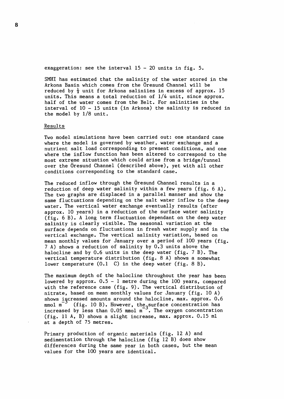exaggeration: see the interval  $15 - 20$  units in fig. 5.

SMHI has estimated that the salinity of the water stored in the Arkona Basin which comes from the Öresund Channel will be reduced by  $\frac{1}{2}$  unit for Arkona saliniies in excess of approx. 15 units. This means a total reduction of 1/4 unit, since approx. half of the water comes from the Belt. For salinities in the interval of 10 - 15 units (in Arkona) the salinity is reduced in the model by 1/8 unit.

### Results

Two model simulations have been carried out: one standard case where the model is governed by weather, water exchange and a nutrient salt load corresponding to present conditions, and one where the inflow function has been altered to correspond to the most extreme situation which could arise from a bridge/tunnel over the Öresund Channel (described above), yet with all other conditions corresponding to the standard case.

The reduced inflow through the Öresund Channel results in a reduction of deep water salinity within a few years (fig. 6 A). The two graphs are displaced in a parallel manner and show the same fluctuations depending on the salt water inflow to the deep water. The vertical water exchange eventually results (after approx. 10 years) in a reduction of the surface water salinity (fig. 6 B). A long term fluctuation dependant on the deep water salinity is clearly visible. The seasonal variation at the surface depends on fluctuations in fresh water supply and in the vertical exchange. The vertical salinity variation, based on mean monthly values for January over a period of 100 years (fig. 7 A) shows a reduction of salinity by 0.3 units above the halocline and by 0.6 units in the deep water (fig. 7 B). The vertical temperature distribution (fig. 8 A) shows a somewhat lower temperature (0.1 C) in the deep water (fig. 8 B).

The maximum depth of the halocline throughout the year has been lowered by approx.  $0.5 - 1$  metre during the 100 years, compared with the reference case (fig. 9). The vertical distribution of nitrate, based on mean monthly values for January (fig. 10 A) shows increased amounts around the halocline, max. approx. 0.6 mmol m<sup>-3</sup> (fig. 10 B). However, the surface concentration has<br>isomoogod by loss than 0.05 mmol m<sup>-3</sup> The exuser concentration mmol m<sup>-3</sup> (fig. 10 B). However, the surface concentration has increased by less than 0.05 mmol m<sup>-3</sup>. The oxygen concentration (fig. 11 A, B) shows a slight increase, max. approx. 0.15 ml at a depth of 75 metres.

Primary production of organic materials (fig. 12 A) and sedimentation through the halocline (fig 12 B) does show differences during the same year in both cases, but the mean values for the 100 years are identical.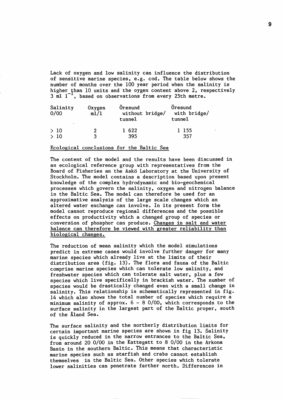Lack of oxygen and low salinity can influence the distribution of sensitive marine species, e.g. cod. The table below shows the number of months over the 100 year period when the salinity is higher than 10 units and the oygen content above 2, respectively<br>3 ml 1<sup>-1</sup> hased on observations from every 25th metre  $3$  ml  $1^{-1}$ , based on observations from every 25th metre.

| Salinity<br>0/00 | Oxygen<br>m1/1 | Öresund<br>without bridge/<br>tunnel | Öresund<br>with bridge/<br>tunnel |
|------------------|----------------|--------------------------------------|-----------------------------------|
| >10              |                | 1 622                                | 1 155                             |
| >10              |                | 395                                  | 357                               |

# Ecological conclusions for the Baltic Sea

The content of the model and the results have been discussed in an ecological reference group with representatives from the Board of Fisheries an the Askö Laboratory at the University of Stockholm. The model contains a description based upon present knowledge of the complex hydrodynamic and bio-geochemical processes which govern the salinity, oxygen and nitrogen balance in the Baltic Sea. The model can therefore be used for an approximative analysis of the large scale changes which an altered water exchange can involve. In its present form the model cannot reproduce regional differences and the possible effects on productivity which a changed group of species or conversion of phosphor can produce. Changes in salt and water balance can therefore be viewed with greater reliability than biological changes.

The reduction of mean salinity which the model simulations predict in extreme cases would involve further danger for many marine species which already live at the limits of their distribution area (fig. 13). The flora and fauna of the Baltic comprise marine species which can tolerate low salinity, and freshwater species which can tolerate salt water, plus a few species which live specifically in brackish water. The number of species would be drastically changed even with a small change in salinity. This relationship is schematically represented in fig. 14 which also shows the total number of species which require a minimum salinity of approx.  $6 - 8$  0/00, which corresponds to the surface salinity in the largest part of the Baltic proper, south of the Äland Sea.

The surface salinity and the northerly distribution limits for certain important marine species are shown in fig 13. Salinity is quickly reduced in the narrow entrances to the Baltic Sea, from around 20 0/00 in the Kattegatt to 8 0/00 in the Arkona Basin in the southern Baltic. This means that characteristic marine species such as starfish and crabs cannot establish themselves in the Baltic Sea. Other species which tolerate lower salinities can penetrate farther north. Differences in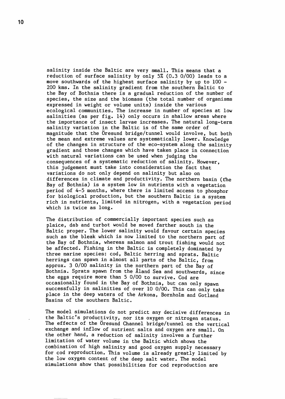salinity inside the Baltic are very small. This means that a reduction of surface salinity by only 5% (0.3 0/00) leads to a move southwards of the highest surface salinity by up to 100 - 200 kms. In the salinity gradient from the southern Baltic to the Bay of Bothnia there is a gradual reduction of the number of species, the size and the biomass (the total number of organisms expressed in weight or volume units) inside the various ecological communities. The increase in number of species at low salinities (as per fig. 14) only occurs in shallow areas where the importance of insect larvae increases. The natural long-term salinity variation in the Baltic is of the same order of magnitude that the Öresund bridge/tunnel would involve, hut both the mean and extreme values are systematically lower. Knowledge of the changes in structure of the eco-system along the salinity gradient and those changes which have taken place in connection with natural variations can be used when judging the consequences of a systematic reduction of salinity. However, this judgement must take into consideration the fact that variations do not only depend on salinity hut also on differences in climate and productivity. The northern basin (the Bay of Bothnia) is a system low in nutrients with a vegetation period of 4-5 months, where there is limited access to phosphor for biological production, but the southern Baltic is a system rich in nutrients, limited in nitrogen, with a vegetation period which is twice as long.

The distribution of commercially important species such as plaice, dab and turbot would be moved farther south in the Baltic proper. The lower salinity would favour certain species such as the bleak which is now limited to the northern part of the Bay of Bothnia, whereas salmon and trout fishing would not be affected. Fishing in the Baltic is completely dominated by three marine species: cod, Baltic herring and sprats. Baltic herrings can spawn in almost all parts of the Baltic, from approx. 3 0/00 salinity in the northern part of the Bay of Bothnia. Sprats spawn from the Åland Sea and southwards, since the eggs require more than 5 0/00 to survive. Cod are occasionally found in the Bay of Bothnia, hut can only spawn successfully in salinities of over 10 0/00. This can only take place in the deep waters of the Arkona, Bornholm and Gotland Basins of the southern Baltic.

The model simulations do not predict any decisive differences in the Baltic's productivity, nor its oxygen or nitrogen status. The effects of the Öresund Channel bridge/tunnel on the vertical exchange and inflow of nutrient salts and oxygen are small. 0n the other hand, a reduction of salinity involves a further limitation of water volume in the Baltic which shows the combination of high salinity and good oxygen supply necessary for cod reproduction. This volume is already greatly limited by the low oxygen content of the deep salt water. The model simulations show that possibilities for cod reproduction are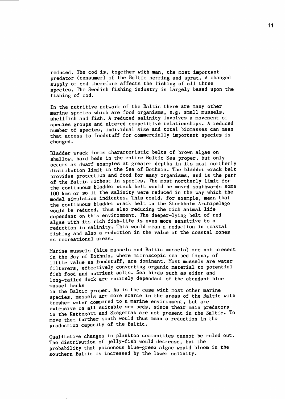reduced. The cod is, together with man, the most important predator (consumer) of the Baltic herring and sprat. A changed supply of cod therefore affects the fishing of all three species. The Swedish fishing industry is largely based upon the fishing of cod.

In the nutritive network of the Baltic there are many other marine species which are food organisms, e.g. small mussels, shellfish and fish. A reduced salinity involves a movement of species groups and altered competitive relationships. A reduced number of species, individual size and total biomasses can mean that access to foodstuff for commercially important species is changed.

Bladder wrack forms characteristic belts of brown algae on shallow, hard heds in the entire Baltic Sea proper, hut only occurs as dwarf examples at greater depths in its most northerly distribution limit in the Sea of Bothnia. The bladder wrack helt provides protection and food for many organisms, and is the part of the Baltic richest in species. The most northerly limit for the continuous bladder wrack helt would be moved southwards some 100 kms or so if the salinity were reduced in the way which the model simulation indicates. This could, for example, mean that the continuous bladder wrack helt in the Stockholm Archipelago would be reduced, thus also reducing the rich animal life dependant on this environment. The deeper-lying belt of red algae with its rich fish-life is even more sensitive to a reduction in salinity. This would mean a reduction in coastal fishing and also a reduction in the value of the coastal zones as recreational areas.

Marine mussels (blue mussels and Baltic mussels) are not present in the Bay of Bothnia, where microscopic sea hed fauna, of little value as foodstuff, are dominant. Most mussels are water filterers, effectively converting organic material to potential fish food and nutrient salts. Sea birds such as eider and long-tailed duck are entirely dependant of the abundant blue mussel banks

in the Baltic proper. As is the case with most other marine species, mussels are more scarce in the areas of the Baltic with fresher water compared to a marine environment, but are extensive on all suitable sea heds, since their main predators in the Kattegatt and Skagerrak are not present in the Baltic. To move them further south would thus mean a reduction in the production capacity of the Baltic.

Qualitative changes in plankton communities cannot be ruled out. The distribution of jelly-fish would decrease, hut the probability that poisonous blue-green algae would bloom in the southern Baltic is increased by the lower salinity.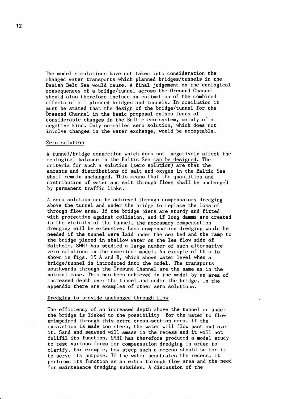The model simulations have not taken into consideration the changed water transports which planned bridges/tunnels in the Danish Belt Sea would cause. A final judgement on the ecological consequences of a bridge/tunnel across the Öresund Channel should also therefore include an estimation of the combined effects of all planned bridges and tunnels. In conclusion it must be stated that the design of the bridge/tunnel for the Öresund Channel in the basic proposal raises fears of considerable changes in the Baltic eco-system, mainly of a negative kind. Only so-called zero solution, which does not involve changes in the water exchange, would be acceptable.

# Zero solution

A tunnel/bridge connection which does not negatively affect the ecological balance in the Baltic Sea can be designed. The criteria for such a solution (zero solution) are that the amounts and distributions of salt and oxygen in the Baltic Sea shall remain unchanged. This means that the quantities and distribution of water and salt through flows shall be unchanged by permanent traffic links.

A zero solution can be achieved through compensatory dredging above the tunnel and under the bridge to replace the loss of through flow area. If the bridge piers are sturdy and fitted with protection against collision, and if long damms are created in the vicinity of the tunnel, the necessary compensation dredging will be extensive. Less compensation dredging would be needed if the tunnel were laid under the sea hed and the ramp to the bridge placed in shallow water on the lee flow side of Saltholm. SMHI has studied a large number of such alternative zero solutions in the numerical model. An example of this is shown in figs. 15 A and B, which shows water level when a bridge/tunnel is introduced into the model. The transports southwards through the Öresund Channel are the same as in the natural case. This has been achieved in the model by an area of increased depth over the tunnel and under the bridge. In the appendix there are examples of other zero solutions.

# Dredging to provide unchanged through flow

The efficiency of an increased depth above the tunnel or under the bridge is linked to the possibility for the water to flow umimpaired through this extra cross-section area. If the excavation is made too steep, the water will flow past and over it. Sand and seaweed will amass in the recess and it will not fullfil its function. SMHI has therefore produced a model study to test various forms for compensation dredging in order to clarify, for example, how steep such a recess should be for it to serve its purpose. If the water penetrates the recess, it performs its function as an extra through flow area and the need for maintenance dredging subsides. A discussion of the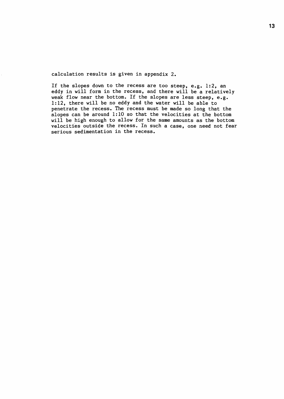calculation results is given in appendix 2.

If the slopes down to the recess are too steep, e.g. 1:2, an eddy in will form in the recess, and there will be a relatively weak flow near the bottom. If the slopes are less steep, e.g. 1:12, there will be no eddy and the water will be able to penetrate the recess. The recess must be made so long that the slopes can be around 1:10 so that the velocities at the bottom will be high enough to allow for the same amounts as the bottom velocities outside the recess. In such a case, one need not fear serious sedimentation in the recess.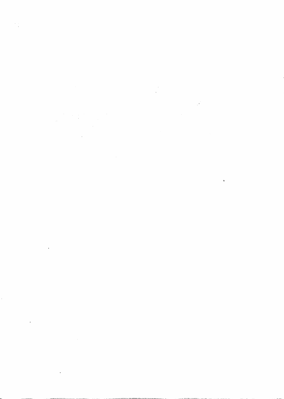$\label{eq:2.1} \frac{1}{\sqrt{2}}\int_{\mathbb{R}^3}\frac{1}{\sqrt{2}}\left(\frac{1}{\sqrt{2}}\right)^2\frac{1}{\sqrt{2}}\left(\frac{1}{\sqrt{2}}\right)^2\frac{1}{\sqrt{2}}\left(\frac{1}{\sqrt{2}}\right)^2\frac{1}{\sqrt{2}}\left(\frac{1}{\sqrt{2}}\right)^2.$ 

 $\label{eq:1.1} \mathbf{U} = \mathbf{U} \times \mathbf{U} \times \mathbf{U} \times \mathbf{U}$ 

 $\mathcal{L}(\mathcal{L})$  and  $\mathcal{L}(\mathcal{L})$  . The set of  $\mathcal{L}(\mathcal{L})$ 

 $\mathcal{L}(\mathcal{L}(\mathcal{L}))$  and  $\mathcal{L}(\mathcal{L}(\mathcal{L}))$  . As in the following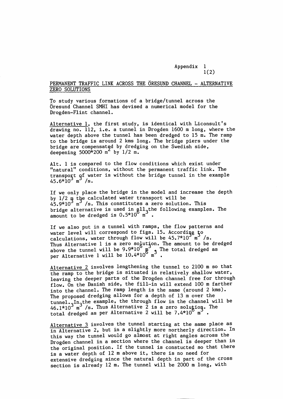# PERMANENT TRAFFIC LINK ACROSS THE ÖRESUND CHANNEL - ALTERNATIVE ZERO SOLUTIONS

To study various formations of a bridge/tunnel across the Öresund Channel SMHI has devised a numerical model for the Drogden-Flint channel.

Alternative 1, the first study, is identical with Liconsult's drawing no. 112, i.e. a tunnel in Drogden 1600 m long, where the water depth above the tunnel has been dredged to 15 m. The ramp to the bridge is around 2 kms long. The bridge piers under the bridge are compensated by dredging on the Swedish side,<br>deepening 5000\*200 m<sup>2</sup> by 1/2 m.

Alt. 1 is compared to the flow conditions which exist under "natural" conditions, without the permanent traffic link. The transport of water is without the bridge tunnel in the example<br> $\frac{1}{2}$  and  $\frac{1}{2}$  m<sup>3</sup> /s.  $45.6*10^3$  m<sup>3</sup> /s.

If we only place the bridge in the model and increase the depth by  $1/2$   $\upmu$  the calculated water transport will be  $45.9*10^3$  m<sup>3</sup>/s. This constitutes a zero solution. This bridge alternative is used in all<sub>3</sub>the following examples. The amount to be dredged is  $0.5*10^6$  m<sup>3</sup>.

If we also put in a tunnel with ramps, the flow patterns and water level will correspond to figs. 15. According to calculations, water through flow will be  $45.7*10^{-7}$  m<sup>3</sup> /s. calculations, water through flow will be 45.7 10 mm 7s.<br>Thus Alternative 1 is a zero solution. The amount to be dredged<br>above the tunnel will be 9.9\*10 m 3 The total dredged as per Alternative 1 will be  $10.4*10^8$  m<sup>3</sup>.

Alternative 2 involves lengthening the tunnel to 2100 m so that the ramp to the bridge is situated in relatively shallow water, leaving the deeper parts of the Drogden channel free for through flow. On the Danish side, the fill-in will extend 100 m farther into the channel. The ramp length is the same (around 2 kms). The proposed dredging allows for a depth of 13 m over the The presenting the through flow in the channel will be<br>tunnel. In the example, the through flow in the channel will be  $46.1*10<sup>3</sup>$  m<sup>3</sup> /s. Thus Alternative 2 is a zero solution. The total dredged as per Alternative 2 will be  $7.4*10^{0}$  m<sup>3</sup>

Alternative 3 involves the tunnel starting at the same place as in Alternative 2, but in a slightly more northerly direction. In this way the tunnel would go almost at right angles across the Drogden channel in a section where the channel is deeper than in the original position. If the tunnel is constucted so that there isa water depth of 12 m above it, there is no need for extensive dredging since the natural depth in part of the cross section is already 12 m. The tunnel will be 2000 m long, with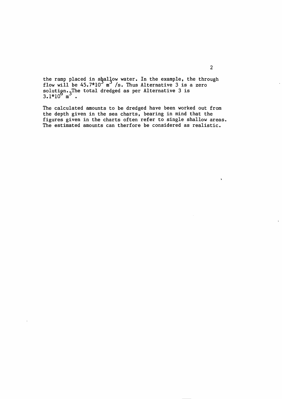the ramp placed in shallow water. In the example, the through flow will be 45.7\*10<sup>3</sup> m<sup>3</sup> /s. Thus Alternative 3 is a zero solution.<sub>3</sub>The total dredged as per Alternative 3 is<br>3 1\*10<sup>0</sup> m<sup>3</sup>  $3.1*10^6$  m<sup>2</sup>.

The calculated amounts to be dredged have been worked out from the depth given in the sea charts, hearing in mind that the figures given in the charts often refer to single shallow areas. The estimated amounts can therfore be considered as realistic.

 $\ddot{\phantom{0}}$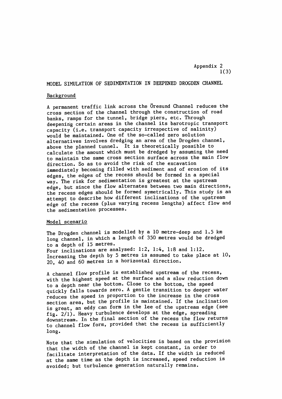Appendix 2 1(3)

MODEL SIMULATION OF SEDIMENTATION IN DEEPENED DROGDEN CHANNEL

#### Background

A permanent traffic link across the Öresund Channel reduces the cross section of the channel through the construction of road banks, ramps for the tunnel, bridge piers, etc. Through deepening certain areas in the channel its barotropic transport capacity (i.e. transport capacity irrespective of salinity) would be maintained. One of the so-called zero solution alternatives involves dredging an area of the Drogden channel, above the planned tunnel. It is theoretically possible to calculate the amount which must be dredged by assuming the need to maintain the same cross section surface across the main flow direction. So as to avoid the risk of the excavation immediately becoming filled with sediment and of erosion of its edges, the edges of the recess should be formed in a special way. The risk for sedimentation is greatest at the upstream edge, but since the flow alternates between two main directions, the recess edges should be formed symetrically. This study is an attempt to describe how different inclinations of the upstream edge of the recess (plus varying recess lengths) affect flow and the sedimentation processes.

# Model scenario

The Drogden channel is modelled by a 10 metre-deep and 1.5 km long channel, in which a length of 350 metres would be dredged toa depth of 15 metres. Four inclinations are analysed: 1:2, 1:4, 1:8 and 1:12. Increasing the depth by 5 metres is assumed to take place at 10, 20, 40 and 60 metres in a horizontal direction.

A channel flow profile is established upstream of the recess, with the highest speed at the surface and a slow reduction down toa depth near the bottom. Close to the bottom, the speed quickly falls towards zero. A gentle transition to deeper water reduces the speed in proportion to the increase in the cross section area, but the profile is maintained. If the inclination is great, an eddy can form in the lee of the upstream edge (see fig. 2/1). Heavy turbulence develops at the edge, spreading downstream. In the final section of the recess the flow returns to channel flow form, provided that the recess is sufficiently long.

Note that the simulation of velocities is based on the provision that the width of the channel is kept constant, in order to facilitate interpretation of the data. If the width is reduced at the same time as the depth is increased, speed reduction is avoided; but turbulence generation naturally remains.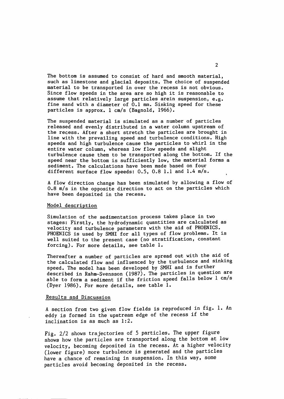The bottom is assumed to consist of hard and smooth material, such as limestone and glacial deposits. The choice of suspended material to be transported in over the recess is not obvious. Since flow speeds in the area are so high it is reasonable to assume that relatively large particles arein suspension, e.g. fine sand with a diameter of 0.1 mm. Sinking speed for these particles is approx. 1 cm/s (Bagnold, 1966).

The suspended material is simulated as a number of particles released and evenly distributed in a water column upstream of the recess. After a short stretch the particles are brought in line with the prevailing speed and turbulence conditions. High speeds and high turbulence cause the particles to whirl in the entire water column, whereas low flow speeds and slight turbulence cause them to be transported along the bottom. If the speed near the bottom is sufficiently low, the material forms a sediment. The calculations have been made based on four different surface flow speeds: 0.5, 0.8 1.1 and 1.4 m/s.

A flow direction change has been simulated by allowing a flow of  $0.8$  m/s in the opposite direction to act on the particles which have been deposited in the recess.

# Model description

Simulation of the sedimentation process takes place in two stages: Firstly, the hydrodynamic quantities are calculated as velocity and turbulence parameters with the aid of PH0ENICS. PHOENICS is used by SMHI for all types of flow problems. It is well suited to the present case (no stratification, constant forcing). For more details, see table 1.

Thereafter a number of particles are spread out with the aid of the calculated flow and influenced by the turbulence and sinking speed. The model has been developed by SMHI and is further described in Rahm-Svensson (1987). The particles in question are able to form a sediment if the friction speed falls below 1 cm/s (Dyer 1986). For more details, see table 1.

# Results and Discussion

A section from two given flow fields is reproduced in fig. 1. An eddy is formed in the upstream edge of the recess if the inclination is as much as 1:2.

Fig. 2/2 shows trajectories of 5 particles. The upper figure shows how the particles are transported along the bottom at low velocity, becoming deposited in the recess. At a higher velocity (lower figure) more turbulence is generated and the particles have a chance of remaining in suspension. In this way, some particles avoid becoming deposited in the recess.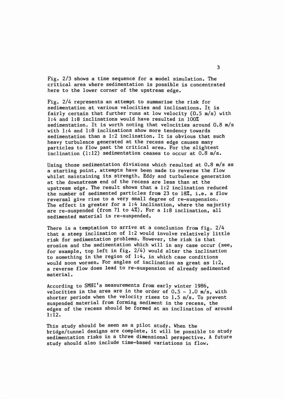Fig.  $2/3$  shows a time sequence for a model simulation. The critical area where sedimentation is possible is concentrated here to the lower corner of the upstream edge.

Fig. 2/4 represents an attempt to summarise the risk for sedimentation at various velocities and inclinations. It is fairly certain that further runs at low velocity  $(0.5 \text{ m/s})$  with 1:4 and 1:8 inclinations would have resulted in 100% sedimentation. It is worth noting that velocities around 0.8 m/s with 1:4 and 1:8 inclinations show more tendency towards sedimentation than a 1:2 inclination. It is obvious that such heavy turbulence generated at the recess edge causes many particles to flow past the critical area. For the slightest inclination (1:12) sedimentation ceases to occur at 0.8 m/s.

Using those sedimentation divisions which resulted at 0.8 m/s as a starting point, attempts have been made to reverse the flow whilst maintaining its strength. Eddy and turbulence generation at the downstream end of the recess are less than at the upstream edge. The result shows that a 1:2 inclination reduced the number of sedimented particles from 23 to 18%, i.e. a flow reversal give rise to a very small degree of re-suspension. The effect is greater for a 1:4 inclination, where the majority are re-suspended (from 71 to 4%). For a 1:8 inclination, all sedimented material is re-suspended.

There is a temptation to arrive at a conclusion from fig.  $2/4$ that a steep inclination of 1:2 would involve relatively little risk for sedimentation problems. However, the risk is that erosion and the sedimentation which will in any case occur (see, for example, top left in fig. 2/4) would alter the inclination to something in the region of 1:4, in which case conditions would soon worsen. For angles of inclination as great as 1:2, a reverse flow does lead to re-suspension of already sedimented material.

According to SMHI's measurements from early winter 1986, velocities in the area are in the order of  $0.5 - 1.0$  m/s, with shorter periods when the velocity rises to  $1.5$  m/s. To prevent suspended material from forming sediment in the recess, the edges of the recess should be formed at an inclination of around 1:12.

This study should be seen as a pilot study. When the bridge/tunnel designs are complete, it will be possible to study sedimentation risks in a three dimensional perspective. A future study should also include time-based variations in flow.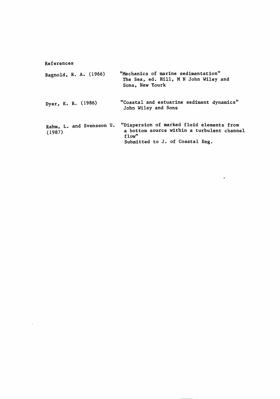References

 $\mathcal{L}^{\text{max}}_{\text{max}}$  . The  $\mathcal{L}^{\text{max}}_{\text{max}}$ 

| Bagnold, R. A. (1966)              | "Mechanics of marine sedimentation"<br>The Sea, ed. Hill, M N John Wiley and<br>Sons, New Yourk                                      |
|------------------------------------|--------------------------------------------------------------------------------------------------------------------------------------|
| Dyer, K. R. (1986)                 | "Coastal and estuarine sediment dynamics"<br>John Wiley and Sons                                                                     |
| Rahm, L. and Svensson U.<br>(1987) | "Dispersion of marked fluid elements from<br>a bottom source within a turbulent channel<br>f1ow''<br>Submitted to J. of Coastal Eng. |

 $\mathcal{L}^{\text{max}}_{\text{max}}$  . The  $\mathcal{L}^{\text{max}}_{\text{max}}$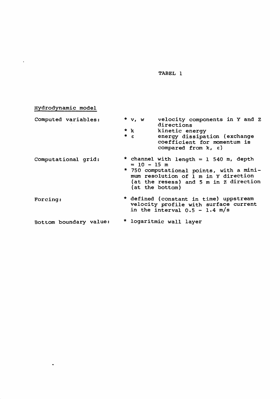# TABEL 1

# Hydrodynamic model

 $\bullet$ 

 $\mathcal{A}^{\text{max}}$ 

| Computed variables:    | $* v, w$<br>$* k$<br>$\star$ $\epsilon$ | velocity components in Y and Z<br>directions<br>kinetic energy<br>energy dissipation (exchange<br>coefficient for momentum is<br>compared from $k, \varepsilon$ )                          |
|------------------------|-----------------------------------------|--------------------------------------------------------------------------------------------------------------------------------------------------------------------------------------------|
| Computational grid:    | $=$ 10 - 15 m                           | * channel with length = $1\,540$ m, depth<br>* 750 computational points, with a mini-<br>mum resolution of 1 m in Y direction<br>(at the resess) and 5 m in Z direction<br>(at the bottom) |
| Forcing:               |                                         | * defined (constant in time) uppstream<br>velocity profile with surface current<br>in the interval $0.5 - 1.4$ m/s                                                                         |
| Bottom boundary value: |                                         | * logaritmic wall layer                                                                                                                                                                    |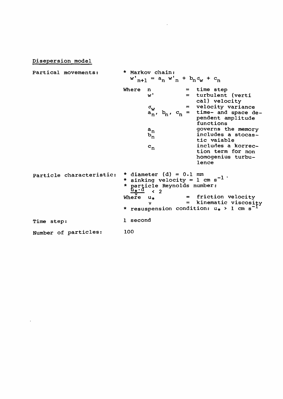Disepersion model

```
Partical movements: 
Particle characteristic: 
Time step: 
Number of particles: 
                                   * Markov chain: 
                                      w'_{n+1} = a_n w'_{n} + b_n \sigma_w + c_nWhere n 
                                             w' 
                                             \sigma_{_{\mathbf{W}}}a_n^{\mathbf{w}}, b_n^{\mathbf{w}},a_nb_n
                                                            = 
time step 
                                                            = 
turbulent (verti 
                                                            = 
                                                        c_n =cal) velocity 
                                                                velocity variance 
                                                                time- and space de-
                                                                pendent amplitude 
                                                                pendent amplitude<br>functions
                                                                governs the memory 
                                                                includes a stocas-
                                                                tic vaiable 
                                                                includes a korrec-
                                                                tion term for non 
                                                                homogenius turbu-
                                                                lence 
                                   \star diameter (d) = 0.1 mm
                                   * sinking velocity = 1 cm s<sup>-1</sup>
                                    * Sinking velocity = 1 cm s<br>* particle Reynolds number:<br>\frac{u_* \cdot d}{v} < 2<br>Where u_* = friction velocity
                                              v^* = kinematic viscosity
                                    * resuspension condition: u_* > 1 cm s<sup>-1</sup>
                                   1 second 
                                   100
```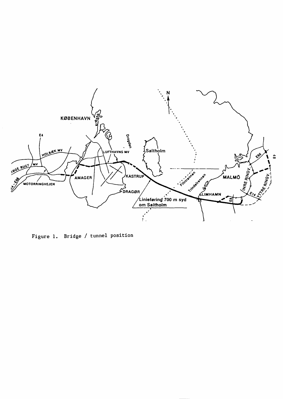

Figure 1. Bridge / tunnel position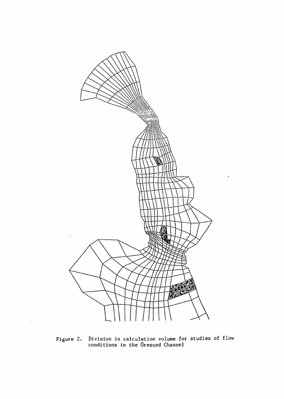

Figure 2. Division in calculation volume for studies of flow conditions in the Öresund Channel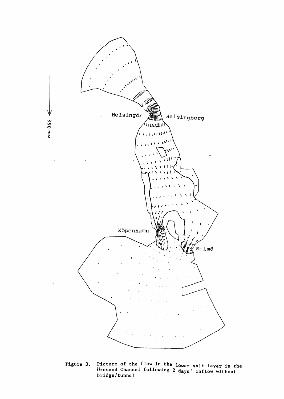

Figure 3. Picture of the flow in the lower salt layer in the<br>
Oresund Channel following 2 days' inflow without<br>
bridge/tunnel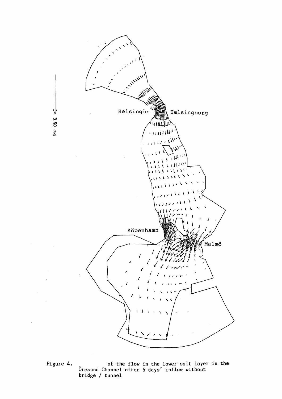

% of the flow in the lower salt layer in the Oresund Channel after 6 days' inflow without bridge / tunnel

Figure 4.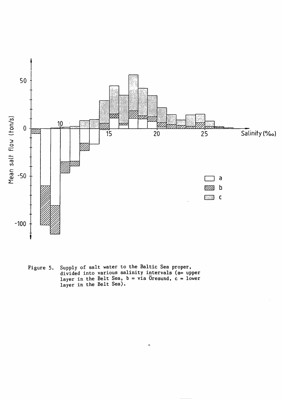

Supply of salt water to the Baltic Sea proper, Figure 5. divided into various salinity intervals (a= upper layer in the Belt Sea,  $b = via Oresund$ ,  $c = lower$ <br>layer in the Belt Sea).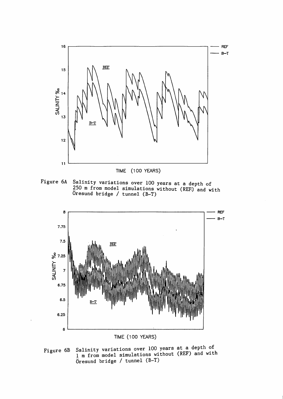

Figure 6A Salinity variations over 100 years at a depth of  $250$  m from model simulations without (REF) and with Öresund bridge/ tunnel (B-T)



Figure 6B Salinity variations over 100 years at a depth of 1 m from model simulations without (REF) and with Öresund bridge/ tunnel (B-T)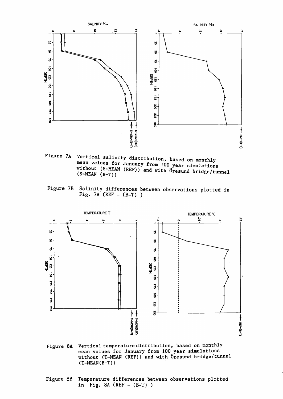

- Figure 7A Vertical salinity distribution, based on monthly mean values for January from 100 year simulations without (S-MEAN (REF)) and with Öresund bridge/tunnel (S-MEAN (B-T))
- Figure 7B Salinity differences between observations plotted in Fig. 7A  $(REF - (B-T))$



Figure 8A Vertical temperature distribution, based on monthly mean values for January from 100 year simulations without (T-MEAN (REF)) and with Öresund bridge/tunnel  $(T-MEAN(B-T))$ 

Figure BB Temperature differences between observations plotted in Fig. *BA* (REF - (B-T) )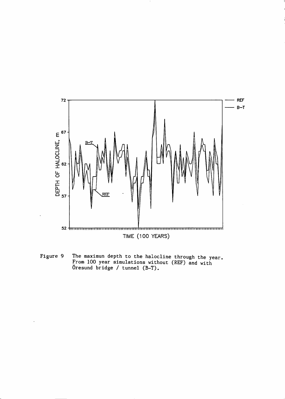

Figure 9 The maximun depth to the halocline through the year. From 100 year simulations without (REF) and with Öresund bridge/ tunnel (B-T).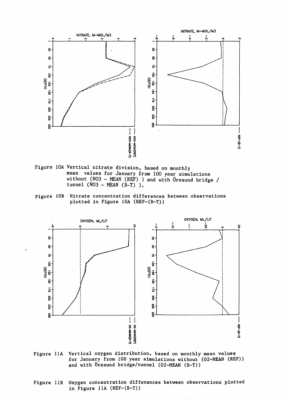

Figure 10A Vertical nitrate division, based on monthly mean values for January from 100 year simulations without (NO3 - MEAN (REF) ) and with Öresund bridge / tunnel ( $NO3$  - MEAN  $(B-T)$ ).

Figure 10B Nitrate concentration differences between observations plotted in Figure 10A (REF-(B-T))



Vertical oxygen distribution, based on monthly mean values Figure 11A for January from 100 year simulations without (02-MEAN (REF)) and with Öresund bridge/tunnel (O2-MEAN (B-T))

Oxygen concentration diffenences between observations plotted Figure 11B in Figure 11A  $(REF-(B-T))$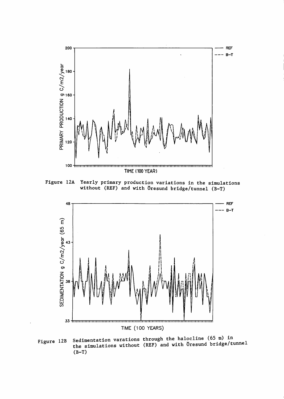

Figure 12A Yearly primary production variations in the simulations without (REF) and with Öresund bridge/tunnel (B-T)



Figure 12B Sedimentation varations through the halocline (65 m) in the simulations without (REF) and with Öresund bridge/tunnel (B-T)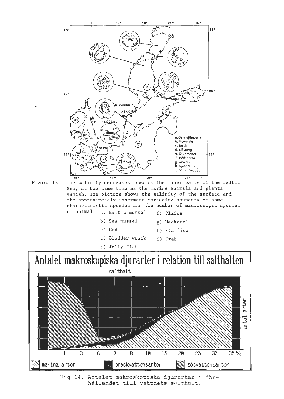

Antalet makroskopiska djurarter i för-Fig  $14.$ hållandet till vattnets salthalt.

brackvattensarter

sötvattensarter

marina arter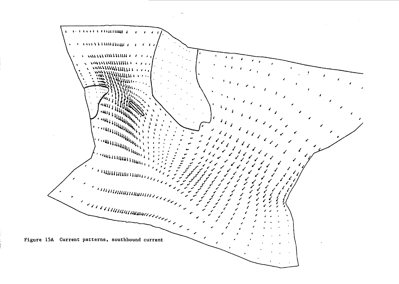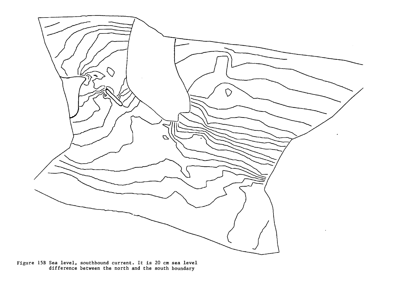

Figure 15B Sea level, southbound current. It is 20 cm sea level difference between the north and the south boundary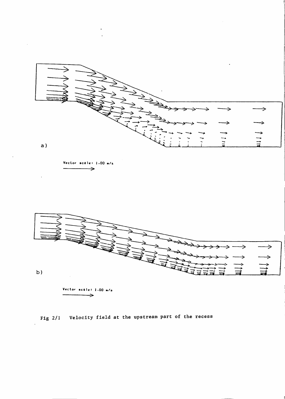





Vector acale: 1.00 m/s >

 $\ddot{\phantom{a}}$ 

Fig 2/1 Velocity field at the upstream part of the recess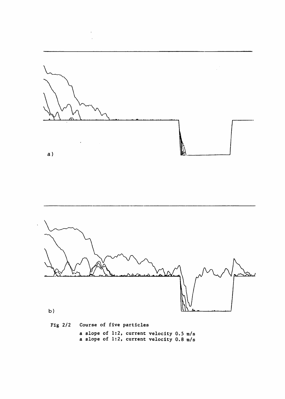



Fig 2/2 Course of five particles a slope of 1:2, current velocity 0.5 m/s a slope of 1:2, current velocity  $0.8 \text{ m/s}$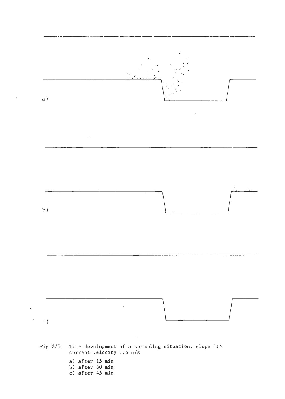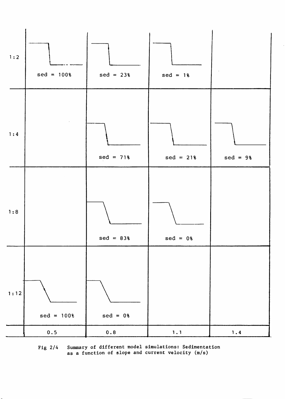

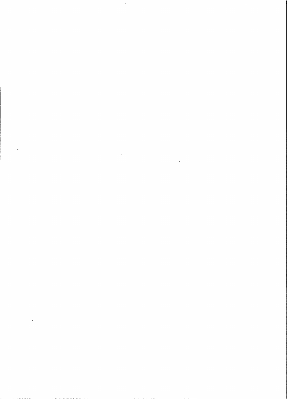$\sim 10^4$  $\frac{1}{2} \frac{1}{2} \frac{1}{2} \frac{1}{2}$ 

 $\mathcal{L}(\mathcal{L}^{\text{max}}_{\mathcal{L}}(\mathcal{L}^{\text{max}}_{\mathcal{L}}))$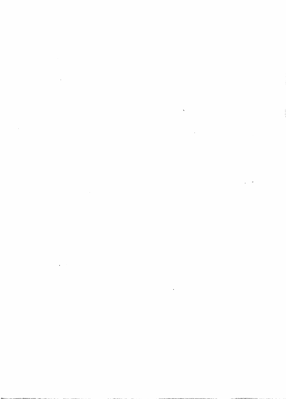$\label{eq:2.1} \frac{1}{\sqrt{2}}\int_{\mathbb{R}^3}\frac{1}{\sqrt{2}}\left(\frac{1}{\sqrt{2}}\right)^2\frac{1}{\sqrt{2}}\left(\frac{1}{\sqrt{2}}\right)^2\frac{1}{\sqrt{2}}\left(\frac{1}{\sqrt{2}}\right)^2\frac{1}{\sqrt{2}}\left(\frac{1}{\sqrt{2}}\right)^2.$ 

 $\label{eq:2.1} \frac{1}{2} \sum_{i=1}^n \frac{1}{2} \sum_{j=1}^n \frac{1}{2} \sum_{j=1}^n \frac{1}{2} \sum_{j=1}^n \frac{1}{2} \sum_{j=1}^n \frac{1}{2} \sum_{j=1}^n \frac{1}{2} \sum_{j=1}^n \frac{1}{2} \sum_{j=1}^n \frac{1}{2} \sum_{j=1}^n \frac{1}{2} \sum_{j=1}^n \frac{1}{2} \sum_{j=1}^n \frac{1}{2} \sum_{j=1}^n \frac{1}{2} \sum_{j=1}^n \frac{$  $\mathcal{L}(\mathcal{L})$  and  $\mathcal{L}(\mathcal{L})$  are the set of the set of the set of the set of the set of the set of the set of the set of the set of the set of the set of the set of the set of the set of the set of the set of the set

 $\label{eq:2.1} \mathcal{L}(\mathcal{L}^{\text{max}}_{\mathcal{L}}(\mathcal{L}^{\text{max}}_{\mathcal{L}}),\mathcal{L}^{\text{max}}_{\mathcal{L}}(\mathcal{L}^{\text{max}}_{\mathcal{L}}))$  $\label{eq:2.1} \frac{1}{\sqrt{2}}\int_{\mathbb{R}^3}\frac{1}{\sqrt{2}}\left(\frac{1}{\sqrt{2}}\right)^2\frac{1}{\sqrt{2}}\left(\frac{1}{\sqrt{2}}\right)^2\frac{1}{\sqrt{2}}\left(\frac{1}{\sqrt{2}}\right)^2\frac{1}{\sqrt{2}}\left(\frac{1}{\sqrt{2}}\right)^2\frac{1}{\sqrt{2}}\left(\frac{1}{\sqrt{2}}\right)^2\frac{1}{\sqrt{2}}\frac{1}{\sqrt{2}}\frac{1}{\sqrt{2}}\frac{1}{\sqrt{2}}\frac{1}{\sqrt{2}}\frac{1}{\sqrt{2}}$ 

and the state of the state of the